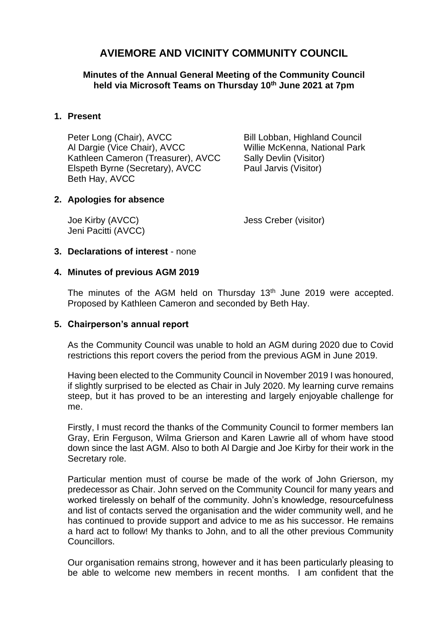# **AVIEMORE AND VICINITY COMMUNITY COUNCIL**

**Minutes of the Annual General Meeting of the Community Council held via Microsoft Teams on Thursday 10 th June 2021 at 7pm**

# **1. Present**

Peter Long (Chair), AVCC Bill Lobban, Highland Council Al Dargie (Vice Chair), AVCC Willie McKenna, National Park Kathleen Cameron (Treasurer), AVCC Sally Devlin (Visitor) Elspeth Byrne (Secretary), AVCC Paul Jarvis (Visitor) Beth Hay, AVCC

# **2. Apologies for absence**

Jeni Pacitti (AVCC)

Joe Kirby (AVCC) Jess Creber (visitor)

# **3. Declarations of interest** - none

# **4. Minutes of previous AGM 2019**

The minutes of the AGM held on Thursday 13<sup>th</sup> June 2019 were accepted. Proposed by Kathleen Cameron and seconded by Beth Hay.

#### **5. Chairperson's annual report**

As the Community Council was unable to hold an AGM during 2020 due to Covid restrictions this report covers the period from the previous AGM in June 2019.

Having been elected to the Community Council in November 2019 I was honoured, if slightly surprised to be elected as Chair in July 2020. My learning curve remains steep, but it has proved to be an interesting and largely enjoyable challenge for me.

Firstly, I must record the thanks of the Community Council to former members Ian Gray, Erin Ferguson, Wilma Grierson and Karen Lawrie all of whom have stood down since the last AGM. Also to both Al Dargie and Joe Kirby for their work in the Secretary role.

Particular mention must of course be made of the work of John Grierson, my predecessor as Chair. John served on the Community Council for many years and worked tirelessly on behalf of the community. John's knowledge, resourcefulness and list of contacts served the organisation and the wider community well, and he has continued to provide support and advice to me as his successor. He remains a hard act to follow! My thanks to John, and to all the other previous Community **Councillors** 

Our organisation remains strong, however and it has been particularly pleasing to be able to welcome new members in recent months. I am confident that the